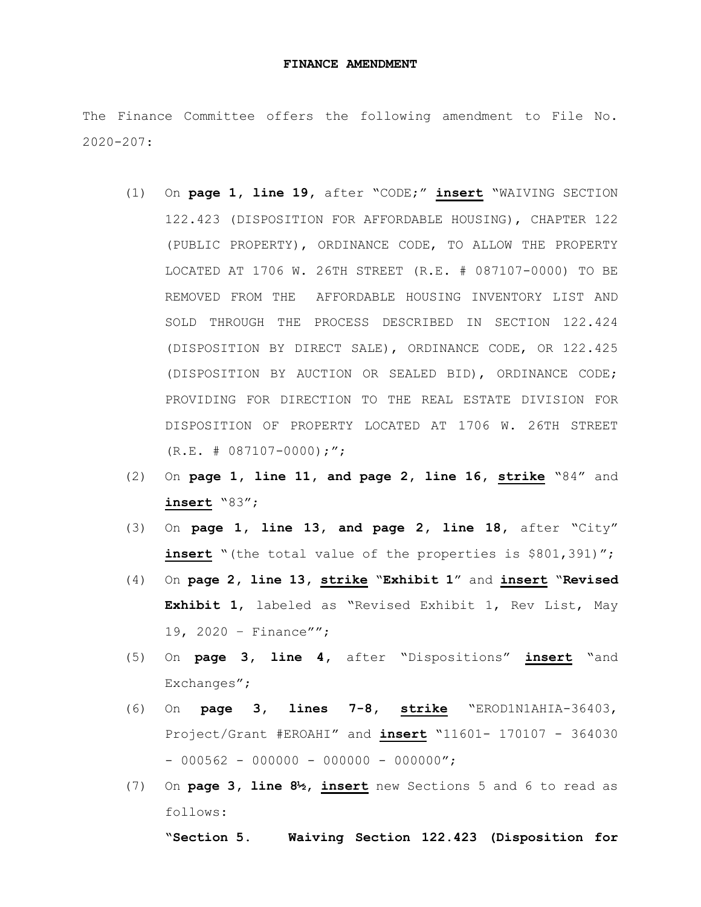## **FINANCE AMENDMENT**

The Finance Committee offers the following amendment to File No. 2020-207:

- (1) On **page 1, line 19,** after "CODE;" **insert** "WAIVING SECTION 122.423 (DISPOSITION FOR AFFORDABLE HOUSING), CHAPTER 122 (PUBLIC PROPERTY), ORDINANCE CODE, TO ALLOW THE PROPERTY LOCATED AT 1706 W. 26TH STREET (R.E. # 087107-0000) TO BE REMOVED FROM THE AFFORDABLE HOUSING INVENTORY LIST AND SOLD THROUGH THE PROCESS DESCRIBED IN SECTION 122.424 (DISPOSITION BY DIRECT SALE), ORDINANCE CODE, OR 122.425 (DISPOSITION BY AUCTION OR SEALED BID), ORDINANCE CODE; PROVIDING FOR DIRECTION TO THE REAL ESTATE DIVISION FOR DISPOSITION OF PROPERTY LOCATED AT 1706 W. 26TH STREET  $(R.E. # 087107-0000)$ ;";
- (2) On **page 1, line 11, and page 2, line 16, strike** "84" and **insert** "83";
- (3) On **page 1, line 13, and page 2, line 18,** after "City" **insert** "(the total value of the properties is \$801,391)";
- (4) On **page 2, line 13, strike** "**Exhibit 1**" and **insert** "**Revised Exhibit 1**, labeled as "Revised Exhibit 1, Rev List, May 19, 2020 – Finance"";
- (5) On **page 3, line 4,** after "Dispositions" **insert** "and Exchanges";
- (6) On **page 3, lines 7-8, strike** "EROD1N1AHIA-36403, Project/Grant #EROAHI" and **insert** "11601- 170107 - 364030  $-$  000562 - 000000 - 000000 - 000000";
- (7) On **page 3, line 8½, insert** new Sections 5 and 6 to read as follows:

**"Section 5. Waiving Section 122.423 (Disposition for**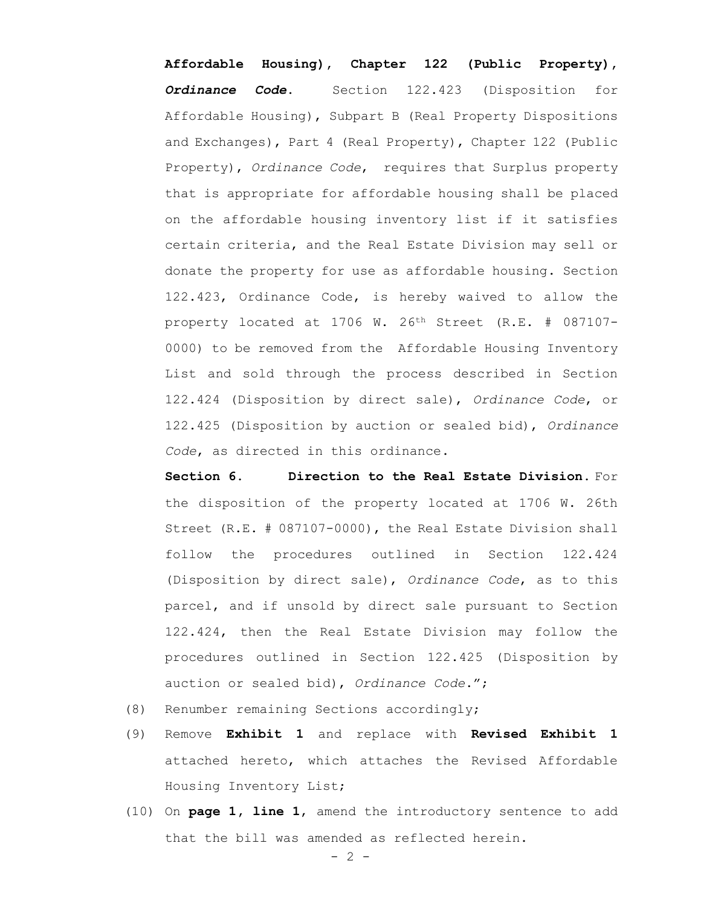**Affordable Housing), Chapter 122 (Public Property),**  *Ordinance Code***.** Section 122.423 (Disposition for Affordable Housing), Subpart B (Real Property Dispositions and Exchanges), Part 4 (Real Property), Chapter 122 (Public Property), *Ordinance Code*, requires that Surplus property that is appropriate for affordable housing shall be placed on the affordable housing inventory list if it satisfies certain criteria, and the Real Estate Division may sell or donate the property for use as affordable housing. Section 122.423, Ordinance Code, is hereby waived to allow the property located at 1706 W. 26th Street (R.E. # 087107- 0000) to be removed from the Affordable Housing Inventory List and sold through the process described in Section 122.424 (Disposition by direct sale), *Ordinance Code*, or 122.425 (Disposition by auction or sealed bid), *Ordinance Code*, as directed in this ordinance.

**Section 6. Direction to the Real Estate Division.** For the disposition of the property located at 1706 W. 26th Street (R.E. # 087107-0000), the Real Estate Division shall follow the procedures outlined in Section 122.424 (Disposition by direct sale), *Ordinance Code*, as to this parcel, and if unsold by direct sale pursuant to Section 122.424, then the Real Estate Division may follow the procedures outlined in Section 122.425 (Disposition by auction or sealed bid), *Ordinance Code*.";

- (8) Renumber remaining Sections accordingly;
- (9) Remove **Exhibit 1** and replace with **Revised Exhibit 1**  attached hereto, which attaches the Revised Affordable Housing Inventory List;
- (10) On **page 1, line 1**, amend the introductory sentence to add that the bill was amended as reflected herein.